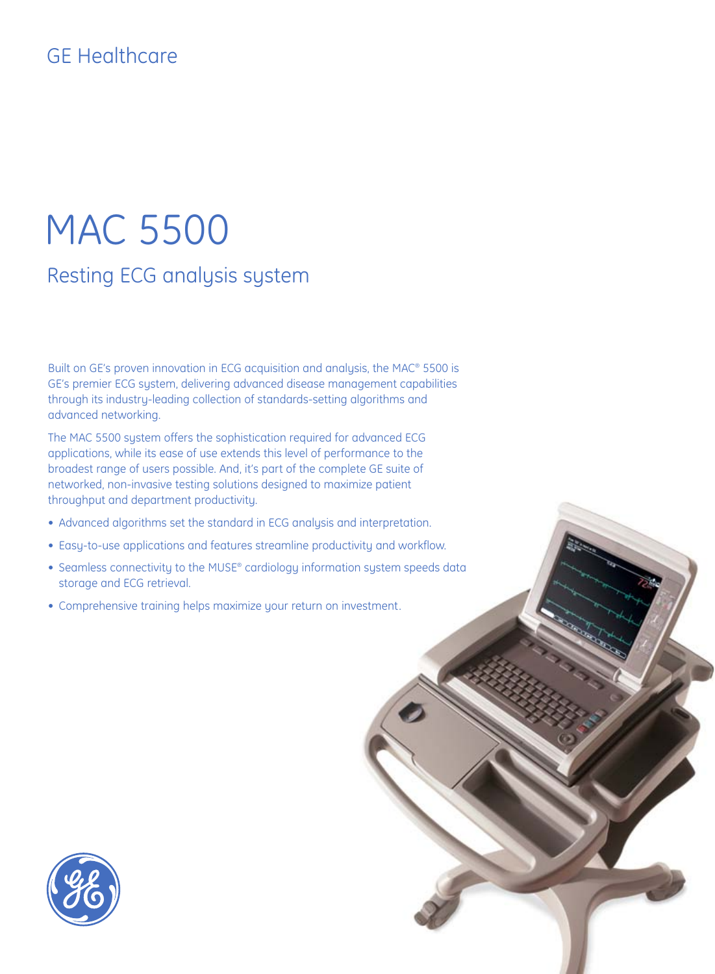# GE Healthcare

# MAC 5500 Resting ECG analysis system

Built on GE's proven innovation in ECG acquisition and analysis, the MAC® 5500 is GE's premier ECG system, delivering advanced disease management capabilities through its industry-leading collection of standards-setting algorithms and advanced networking.

The MAC 5500 system offers the sophistication required for advanced ECG applications, while its ease of use extends this level of performance to the broadest range of users possible. And, it's part of the complete GE suite of networked, non-invasive testing solutions designed to maximize patient throughput and department productivity.

- Advanced algorithms set the standard in ECG analysis and interpretation.
- Easy-to-use applications and features streamline productivity and workflow.
- Seamless connectivity to the MUSE® cardiology information system speeds data storage and ECG retrieval.
- Comprehensive training helps maximize your return on investment.

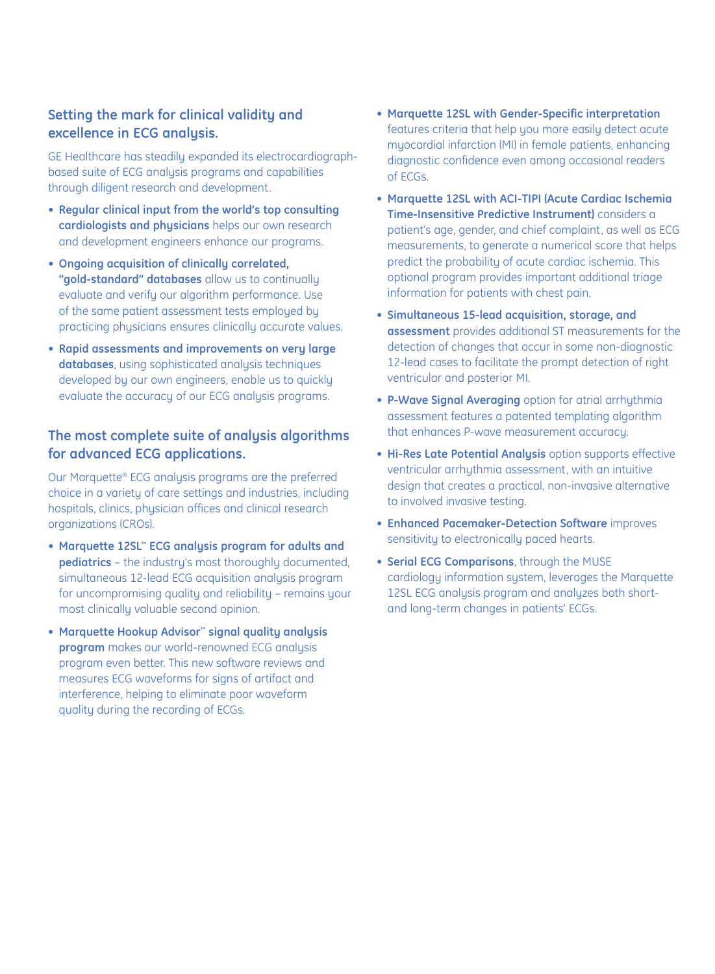# **Setting the mark for clinical validity and excellence in ECG analysis.**

GE Healthcare has steadily expanded its electrocardiographbased suite of ECG analysis programs and capabilities through diligent research and development.

- **Regular clinical input from the world's top consulting cardiologists and physicians** helps our own research and development engineers enhance our programs.
- **Ongoing acquisition of clinically correlated, "gold-standard" databases** allow us to continually evaluate and verify our algorithm performance. Use of the same patient assessment tests employed by practicing physicians ensures clinically accurate values.
- **Rapid assessments and improvements on very large databases**, using sophisticated analysis techniques developed by our own engineers, enable us to quickly evaluate the accuracy of our ECG analysis programs.

## **The most complete suite of analysis algorithms for advanced ECG applications.**

Our Marquette® ECG analysis programs are the preferred choice in a variety of care settings and industries, including hospitals, clinics, physician offices and clinical research organizations (CROs).

- **Marquette 12SL™ ECG analysis program for adults and pediatrics** – the industry's most thoroughly documented, simultaneous 12-lead ECG acquisition analysis program for uncompromising quality and reliability – remains your most clinically valuable second opinion.
- **Marquette Hookup Advisor™ signal quality analysis program** makes our world-renowned ECG analysis program even better. This new software reviews and measures ECG waveforms for signs of artifact and interference, helping to eliminate poor waveform quality during the recording of ECGs.
- **Marquette 12SL with Gender-Specific interpretation** features criteria that help you more easily detect acute myocardial infarction (MI) in female patients, enhancing diagnostic confidence even among occasional readers of ECGs.
- **Marquette 12SL with ACI-TIPI (Acute Cardiac Ischemia Time-Insensitive Predictive Instrument)** considers a patient's age, gender, and chief complaint, as well as ECG measurements, to generate a numerical score that helps predict the probability of acute cardiac ischemia. This optional program provides important additional triage information for patients with chest pain.
- **Simultaneous 15-lead acquisition, storage, and assessment** provides additional ST measurements for the detection of changes that occur in some non-diagnostic 12-lead cases to facilitate the prompt detection of right ventricular and posterior MI.
- **P-Wave Signal Averaging** option for atrial arrhythmia assessment features a patented templating algorithm that enhances P-wave measurement accuracy.
- **Hi-Res Late Potential Analysis** option supports effective ventricular arrhythmia assessment, with an intuitive design that creates a practical, non-invasive alternative to involved invasive testing.
- **Enhanced Pacemaker-Detection Software** improves sensitivity to electronically paced hearts.
- **Serial ECG Comparisons**, through the MUSE cardiology information system, leverages the Marquette 12SL ECG analysis program and analyzes both shortand long-term changes in patients' ECGs.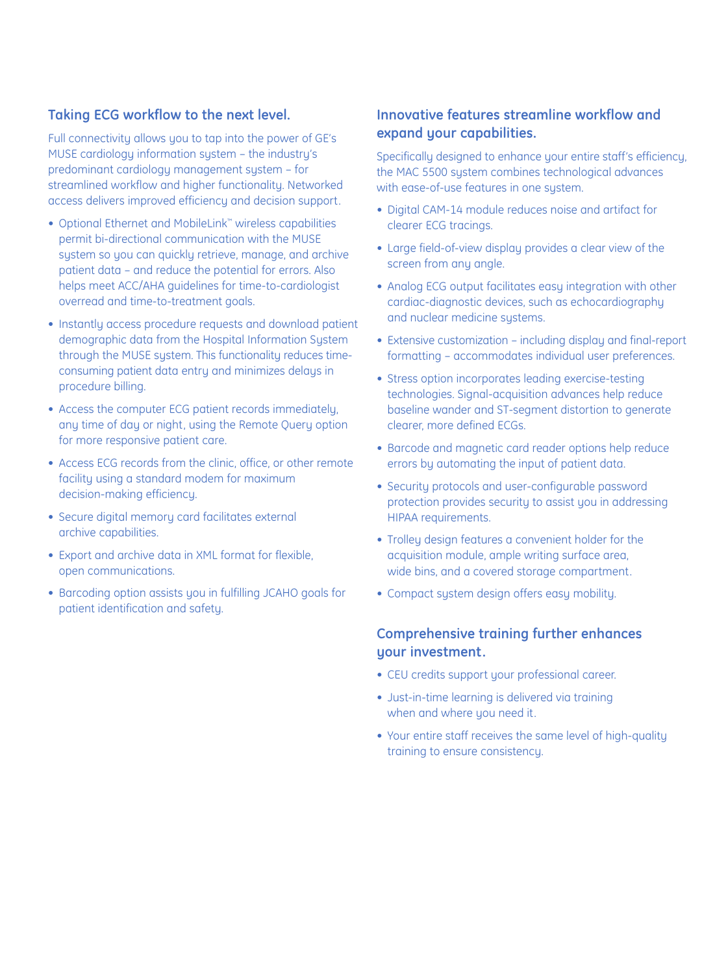## **Taking ECG workflow to the next level.**

Full connectivity allows you to tap into the power of GE's MUSE cardiology information system – the industry's predominant cardiology management system – for streamlined workflow and higher functionality. Networked access delivers improved efficiency and decision support.

- Optional Ethernet and MobileLink™ wireless capabilities permit bi-directional communication with the MUSE system so you can quickly retrieve, manage, and archive patient data – and reduce the potential for errors. Also helps meet ACC/AHA guidelines for time-to-cardiologist overread and time-to-treatment goals.
- Instantly access procedure requests and download patient demographic data from the Hospital Information System through the MUSE system. This functionality reduces timeconsuming patient data entry and minimizes delays in procedure billing.
- Access the computer ECG patient records immediately, any time of day or night, using the Remote Query option for more responsive patient care.
- Access ECG records from the clinic, office, or other remote facility using a standard modem for maximum decision-making efficiency.
- Secure digital memory card facilitates external archive capabilities.
- Export and archive data in XML format for flexible, open communications.
- Barcoding option assists you in fulfilling JCAHO goals for patient identification and safety.

# **Innovative features streamline workflow and expand your capabilities.**

Specifically designed to enhance your entire staff's efficiency, the MAC 5500 system combines technological advances with ease-of-use features in one system.

- Digital CAM-14 module reduces noise and artifact for clearer ECG tracings.
- Large field-of-view display provides a clear view of the screen from any angle.
- Analog ECG output facilitates easy integration with other cardiac-diagnostic devices, such as echocardiography and nuclear medicine systems.
- Extensive customization including display and final-report formatting – accommodates individual user preferences.
- Stress option incorporates leading exercise-testing technologies. Signal-acquisition advances help reduce baseline wander and ST-segment distortion to generate clearer, more defined ECGs.
- Barcode and magnetic card reader options help reduce errors by automating the input of patient data.
- Security protocols and user-configurable password protection provides security to assist you in addressing HIPAA requirements.
- Trolley design features a convenient holder for the acquisition module, ample writing surface area, wide bins, and a covered storage compartment.
- Compact system design offers easy mobility.

# **Comprehensive training further enhances your investment.**

- CEU credits support your professional career.
- Just-in-time learning is delivered via training when and where you need it.
- Your entire staff receives the same level of high-quality training to ensure consistency.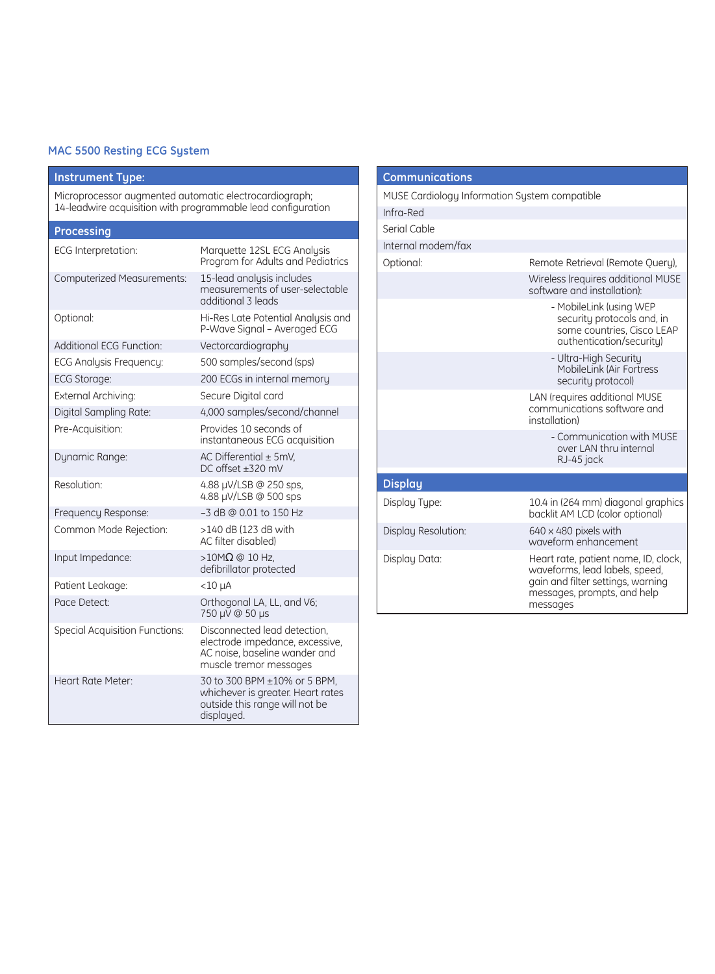#### **MAC 5500 Resting ECG System**

#### **Instrument Type:**

Microprocessor augmented automatic electrocardiograph; 14-leadwire acquisition with programmable lead configuration

| Processing                            |                                                                                                                            |
|---------------------------------------|----------------------------------------------------------------------------------------------------------------------------|
| <b>ECG Interpretation:</b>            | Marquette 12SL ECG Analysis<br>Program for Adults and Pediatrics                                                           |
| <b>Computerized Measurements:</b>     | 15-lead analysis includes<br>measurements of user-selectable<br>additional 3 leads                                         |
| Optional:                             | Hi-Res Late Potential Analysis and<br>P-Wave Signal - Averaged ECG                                                         |
| <b>Additional ECG Function:</b>       | Vectorcardiography                                                                                                         |
| ECG Analysis Frequency:               | 500 samples/second (sps)                                                                                                   |
| <b>ECG Storage:</b>                   | 200 ECGs in internal memory                                                                                                |
| External Archiving:                   | Secure Digital card                                                                                                        |
| Digital Sampling Rate:                | 4,000 samples/second/channel                                                                                               |
| Pre-Acquisition:                      | Provides 10 seconds of<br>instantaneous ECG acquisition                                                                    |
| Dynamic Range:                        | AC Differential $\pm$ 5mV.<br>DC offset ±320 mV                                                                            |
| Resolution:                           | 4.88 µV/LSB @ 250 sps,<br>4.88 µV/LSB @ 500 sps                                                                            |
| Frequency Response:                   | -3 dB @ 0.01 to 150 Hz                                                                                                     |
| Common Mode Rejection:                | >140 dB (123 dB with<br>AC filter disabled)                                                                                |
| Input Impedance:                      | $>10$ M $\Omega$ @ 10 Hz.<br>defibrillator protected                                                                       |
| Patient Leakage:                      | $<$ 10 $\mu$ A                                                                                                             |
| Pace Detect:                          | Orthogonal LA, LL, and V6;<br>750 µV @ 50 µs                                                                               |
| <b>Special Acquisition Functions:</b> | Disconnected lead detection,<br>electrode impedance, excessive,<br>AC noise, baseline wander and<br>muscle tremor messages |
| Heart Rate Meter:                     | 30 to 300 BPM ±10% or 5 BPM,<br>whichever is greater. Heart rates<br>outside this range will not be<br>displayed.          |

| <b>Communications</b>                         |                                                                                                                                                        |
|-----------------------------------------------|--------------------------------------------------------------------------------------------------------------------------------------------------------|
| MUSE Cardiology Information System compatible |                                                                                                                                                        |
| Infra-Red                                     |                                                                                                                                                        |
| Serial Cable                                  |                                                                                                                                                        |
| Internal modem/fax                            |                                                                                                                                                        |
| Optional:                                     | Remote Retrieval (Remote Query).                                                                                                                       |
|                                               | Wireless (requires additional MUSE<br>software and installation):                                                                                      |
|                                               | - MobileLink (using WEP<br>security protocols and, in<br>some countries, Cisco LEAP<br>authentication/security)                                        |
|                                               | - Ultra-High Security<br>MobileLink (Air Fortress<br>security protocol)                                                                                |
|                                               | LAN (requires additional MUSE<br>communications software and<br>installation)                                                                          |
|                                               | - Communication with MUSE<br>over LAN thru internal<br>RJ-45 jack                                                                                      |
| <b>Display</b>                                |                                                                                                                                                        |
| Display Type:                                 | 10.4 in (264 mm) diagonal graphics<br>backlit AM LCD (color optional)                                                                                  |
| Display Resolution:                           | $640 \times 480$ pixels with<br>waveform enhancement                                                                                                   |
| Display Data:                                 | Heart rate, patient name, ID, clock,<br>waveforms, lead labels, speed,<br>gain and filter settings, warning<br>messages, prompts, and help<br>messages |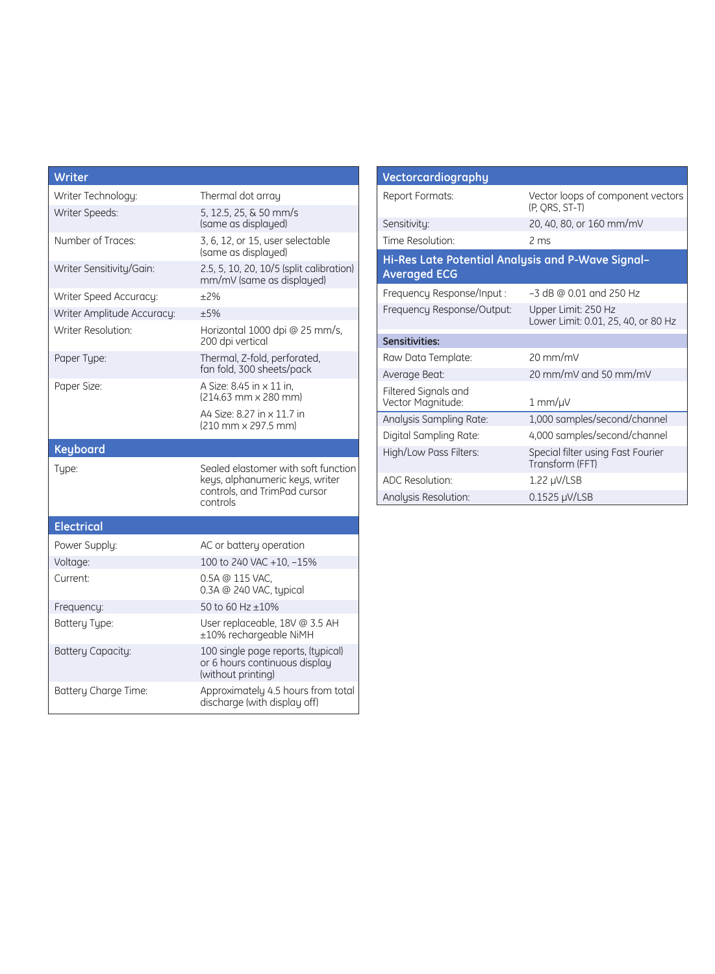| Writer                     |                                                                                                                    |
|----------------------------|--------------------------------------------------------------------------------------------------------------------|
| Writer Technology:         | Thermal dot array                                                                                                  |
| Writer Speeds:             | 5, 12.5, 25, & 50 mm/s<br>(same as displayed)                                                                      |
| Number of Traces:          | 3, 6, 12, or 15, user selectable<br>(same as displayed)                                                            |
| Writer Sensitivity/Gain:   | 2.5, 5, 10, 20, 10/5 (split calibration)<br>mm/mV (same as displayed)                                              |
| Writer Speed Accuracy:     | ±2%                                                                                                                |
| Writer Amplitude Accuracy: | $+5%$                                                                                                              |
| Writer Resolution:         | Horizontal 1000 dpi @ 25 mm/s,<br>200 dpi vertical                                                                 |
| Paper Type:                | Thermal, Z-fold, perforated,<br>fan fold, 300 sheets/pack                                                          |
| Paper Size:                | A Size: 8.45 in x 11 in.<br>$(214.63 \text{ mm} \times 280 \text{ mm})$                                            |
|                            | A4 Size: 8.27 in x 11.7 in<br>(210 mm x 297.5 mm)                                                                  |
|                            |                                                                                                                    |
| <b>Keyboard</b>            |                                                                                                                    |
| Type:                      | Sealed elastomer with soft function<br>keys, alphanumeric keys, writer<br>controls, and TrimPad cursor<br>controls |
| <b>Electrical</b>          |                                                                                                                    |
| Power Supply:              | AC or battery operation                                                                                            |
| Voltage:                   | 100 to 240 VAC +10, -15%                                                                                           |
| Current:                   | 0.5A @ 115 VAC.<br>0.3A @ 240 VAC, typical                                                                         |
| Frequency:                 | 50 to 60 Hz $\pm 10\%$                                                                                             |
| <b>Battery Type:</b>       | User replaceable, 18V @ 3.5 AH<br>±10% rechargeable NiMH                                                           |
| <b>Battery Capacity:</b>   | 100 single page reports, (typical)<br>or 6 hours continuous display<br>(without printing)                          |

| Vectorcardiography                                                       |                                                            |  |
|--------------------------------------------------------------------------|------------------------------------------------------------|--|
| Report Formats:                                                          | Vector loops of component vectors<br>(P. ORS, ST-T)        |  |
| Sensitivity:                                                             | 20, 40, 80, or 160 mm/mV                                   |  |
| Time Resolution:                                                         | 2 ms                                                       |  |
| Hi-Res Late Potential Analysis and P-Wave Signal-<br><b>Averaged ECG</b> |                                                            |  |
| Frequency Response/Input:                                                | -3 dB @ 0.01 and 250 Hz                                    |  |
| Frequency Response/Output:                                               | Upper Limit: 250 Hz<br>Lower Limit: 0.01, 25, 40, or 80 Hz |  |
| Sensitivities:                                                           |                                                            |  |
| Raw Data Template:                                                       | $20 \text{ mm/mV}$                                         |  |
| Average Beat:                                                            | 20 mm/mV and 50 mm/mV                                      |  |
| Filtered Signals and<br>Vector Magnitude:                                | 1 mm/µV                                                    |  |
| Analysis Sampling Rate:                                                  | 1,000 samples/second/channel                               |  |
| Digital Sampling Rate:                                                   | 4,000 samples/second/channel                               |  |
| High/Low Pass Filters:                                                   | Special filter using Fast Fourier<br>Transform (FFT)       |  |
| <b>ADC Resolution:</b>                                                   | 1.22 µV/LSB                                                |  |
| Analysis Resolution:                                                     | $0.1525 \mu V/LSB$                                         |  |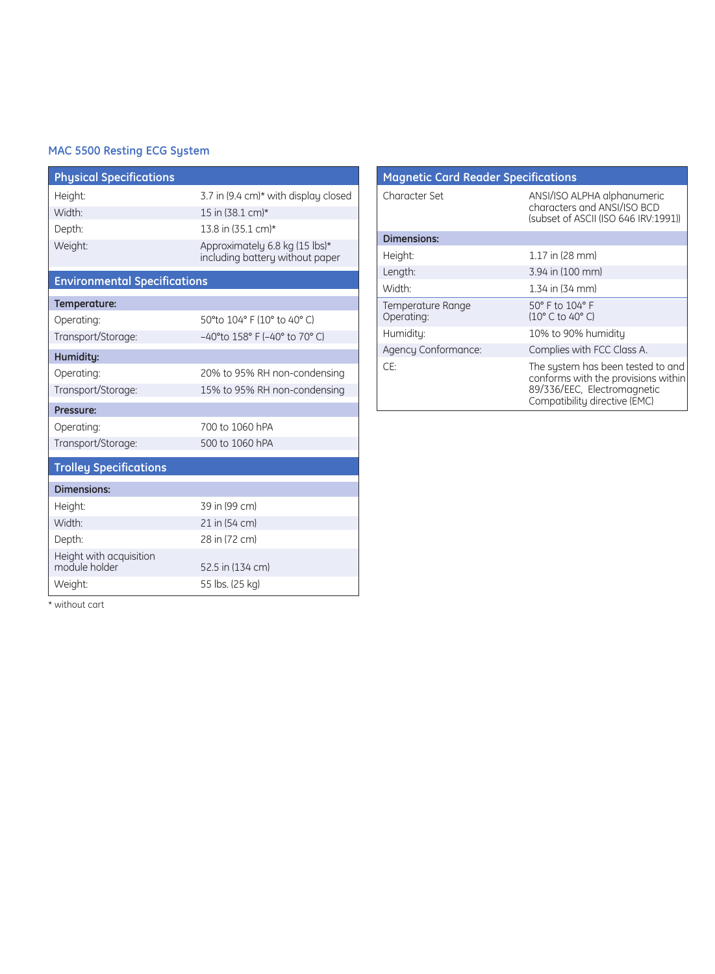#### **MAC 5500 Resting ECG System**

| <b>Physical Specifications</b>           |                                                                   |
|------------------------------------------|-------------------------------------------------------------------|
| Height:                                  | 3.7 in (9.4 cm)* with display closed                              |
| Width <sup>.</sup>                       | 15 in (38.1 cm)*                                                  |
| Depth:                                   | 13.8 in (35.1 cm)*                                                |
| Weight:                                  | Approximately 6.8 kg (15 lbs)*<br>including battery without paper |
| <b>Environmental Specifications</b>      |                                                                   |
| Temperature:                             |                                                                   |
| Operating:                               | 50°to 104° F (10° to 40° C)                                       |
| Transport/Storage:                       | $-40^{\circ}$ to 158° F (-40° to 70° C)                           |
| Humidity:                                |                                                                   |
| Operating:                               | 20% to 95% RH non-condensing                                      |
| Transport/Storage:                       | 15% to 95% RH non-condensing                                      |
| Pressure:                                |                                                                   |
| Operating:                               | 700 to 1060 hPA                                                   |
| Transport/Storage:                       | 500 to 1060 hPA                                                   |
| <b>Trolley Specifications</b>            |                                                                   |
| <b>Dimensions:</b>                       |                                                                   |
| Height:                                  | 39 in (99 cm)                                                     |
| Width <sup>.</sup>                       | 21 in (54 cm)                                                     |
| Depth:                                   | 28 in (72 cm)                                                     |
| Height with acquisition<br>module holder | 52.5 in (134 cm)                                                  |
| Weight:                                  | 55 lbs. (25 kg)                                                   |

| <b>Magnetic Card Reader Specifications</b> |                                                                                                                                          |
|--------------------------------------------|------------------------------------------------------------------------------------------------------------------------------------------|
| Character Set                              | ANSI/ISO ALPHA alphanumeric<br>characters and ANSI/ISO BCD<br>(subset of ASCII (ISO 646 IRV:1991))                                       |
| <b>Dimensions:</b>                         |                                                                                                                                          |
| Height:                                    | 1.17 in (28 mm)                                                                                                                          |
| Length:                                    | 3.94 in (100 mm)                                                                                                                         |
| Width:                                     | 1.34 in (34 mm)                                                                                                                          |
| Temperature Range<br>Operating:            | 50° F to 104° F<br>(10° C to 40° C)                                                                                                      |
| Humidity:                                  | 10% to 90% humidity                                                                                                                      |
| Agency Conformance:                        | Complies with FCC Class A.                                                                                                               |
| CE:                                        | The system has been tested to and<br>conforms with the provisions within<br>89/336/EEC, Electromagnetic<br>Compatibility directive (EMC) |

\* without cart